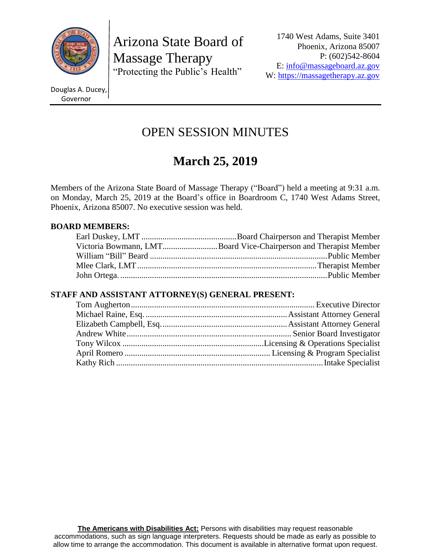

Arizona State Board of Massage Therapy "Protecting the Public's Health"

Douglas A. Ducey, Governor

# OPEN SESSION MINUTES

# **March 25, 2019**

Members of the Arizona State Board of Massage Therapy ("Board") held a meeting at 9:31 a.m. on Monday, March 25, 2019 at the Board's office in Boardroom C, 1740 West Adams Street, Phoenix, Arizona 85007. No executive session was held.

# **BOARD MEMBERS:**

| Victoria Bowmann, LMTBoard Vice-Chairperson and Therapist Member |
|------------------------------------------------------------------|
|                                                                  |
|                                                                  |
|                                                                  |

# **STAFF AND ASSISTANT ATTORNEY(S) GENERAL PRESENT:**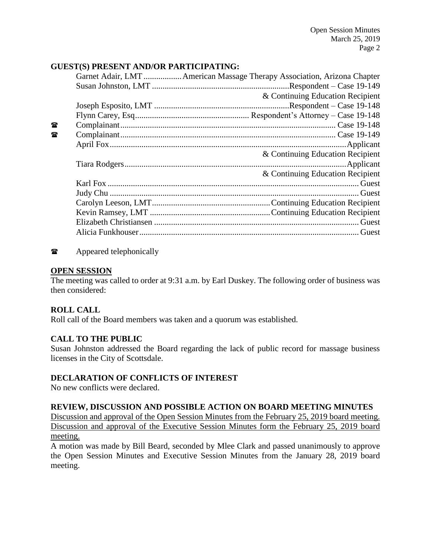# **GUEST(S) PRESENT AND/OR PARTICIPATING:**

|              | Garnet Adair, LMT  American Massage Therapy Association, Arizona Chapter |
|--------------|--------------------------------------------------------------------------|
|              |                                                                          |
|              | & Continuing Education Recipient                                         |
|              |                                                                          |
|              |                                                                          |
| 魯            |                                                                          |
| $\mathbf{r}$ |                                                                          |
|              |                                                                          |
|              | & Continuing Education Recipient                                         |
|              |                                                                          |
|              | & Continuing Education Recipient                                         |
|              |                                                                          |
|              |                                                                          |
|              |                                                                          |
|              |                                                                          |
|              |                                                                          |
|              |                                                                          |
|              |                                                                          |

 $\bullet$  Appeared telephonically

#### **OPEN SESSION**

The meeting was called to order at 9:31 a.m. by Earl Duskey. The following order of business was then considered:

# **ROLL CALL**

Roll call of the Board members was taken and a quorum was established.

#### **CALL TO THE PUBLIC**

Susan Johnston addressed the Board regarding the lack of public record for massage business licenses in the City of Scottsdale.

#### **DECLARATION OF CONFLICTS OF INTEREST**

No new conflicts were declared.

#### **REVIEW, DISCUSSION AND POSSIBLE ACTION ON BOARD MEETING MINUTES**

Discussion and approval of the Open Session Minutes from the February 25, 2019 board meeting. Discussion and approval of the Executive Session Minutes form the February 25, 2019 board meeting.

A motion was made by Bill Beard, seconded by Mlee Clark and passed unanimously to approve the Open Session Minutes and Executive Session Minutes from the January 28, 2019 board meeting.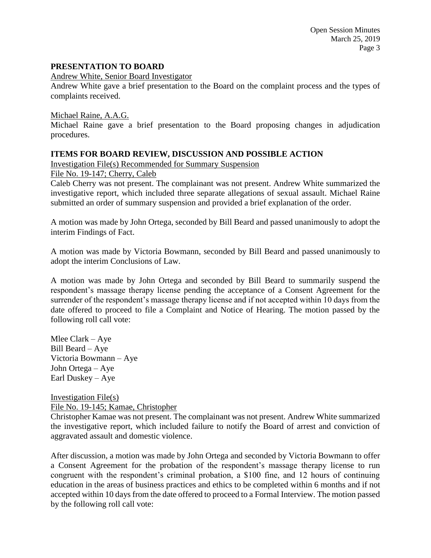### **PRESENTATION TO BOARD**

Andrew White, Senior Board Investigator

Andrew White gave a brief presentation to the Board on the complaint process and the types of complaints received.

Michael Raine, A.A.G.

Michael Raine gave a brief presentation to the Board proposing changes in adjudication procedures.

### **ITEMS FOR BOARD REVIEW, DISCUSSION AND POSSIBLE ACTION**

Investigation File(s) Recommended for Summary Suspension

File No. 19-147; Cherry, Caleb

Caleb Cherry was not present. The complainant was not present. Andrew White summarized the investigative report, which included three separate allegations of sexual assault. Michael Raine submitted an order of summary suspension and provided a brief explanation of the order.

A motion was made by John Ortega, seconded by Bill Beard and passed unanimously to adopt the interim Findings of Fact.

A motion was made by Victoria Bowmann, seconded by Bill Beard and passed unanimously to adopt the interim Conclusions of Law.

A motion was made by John Ortega and seconded by Bill Beard to summarily suspend the respondent's massage therapy license pending the acceptance of a Consent Agreement for the surrender of the respondent's massage therapy license and if not accepted within 10 days from the date offered to proceed to file a Complaint and Notice of Hearing. The motion passed by the following roll call vote:

Mlee Clark – Aye Bill Beard – Aye Victoria Bowmann – Aye John Ortega – Aye Earl Duskey – Aye

Investigation File(s) File No. 19-145; Kamae, Christopher

Christopher Kamae was not present. The complainant was not present. Andrew White summarized the investigative report, which included failure to notify the Board of arrest and conviction of aggravated assault and domestic violence.

After discussion, a motion was made by John Ortega and seconded by Victoria Bowmann to offer a Consent Agreement for the probation of the respondent's massage therapy license to run congruent with the respondent's criminal probation, a \$100 fine, and 12 hours of continuing education in the areas of business practices and ethics to be completed within 6 months and if not accepted within 10 days from the date offered to proceed to a Formal Interview. The motion passed by the following roll call vote: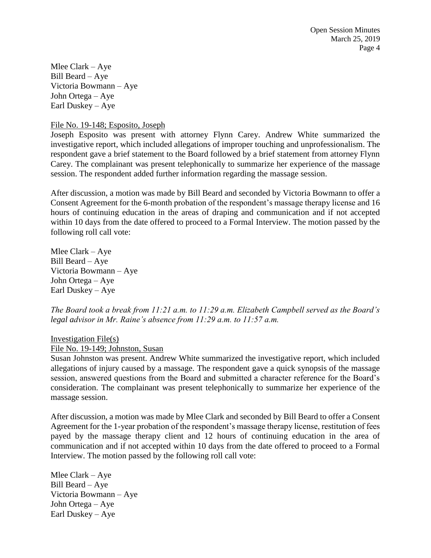Open Session Minutes March 25, 2019 Page 4

Mlee Clark – Aye Bill Beard – Aye Victoria Bowmann – Aye John Ortega – Aye Earl Duskey – Aye

File No. 19-148; Esposito, Joseph

Joseph Esposito was present with attorney Flynn Carey. Andrew White summarized the investigative report, which included allegations of improper touching and unprofessionalism. The respondent gave a brief statement to the Board followed by a brief statement from attorney Flynn Carey. The complainant was present telephonically to summarize her experience of the massage session. The respondent added further information regarding the massage session.

After discussion, a motion was made by Bill Beard and seconded by Victoria Bowmann to offer a Consent Agreement for the 6-month probation of the respondent's massage therapy license and 16 hours of continuing education in the areas of draping and communication and if not accepted within 10 days from the date offered to proceed to a Formal Interview. The motion passed by the following roll call vote:

Mlee Clark – Aye Bill Beard – Aye Victoria Bowmann – Aye John Ortega – Aye Earl Duskey – Aye

*The Board took a break from 11:21 a.m. to 11:29 a.m. Elizabeth Campbell served as the Board's legal advisor in Mr. Raine's absence from 11:29 a.m. to 11:57 a.m.* 

Investigation File(s) File No. 19-149; Johnston, Susan

Susan Johnston was present. Andrew White summarized the investigative report, which included allegations of injury caused by a massage. The respondent gave a quick synopsis of the massage session, answered questions from the Board and submitted a character reference for the Board's consideration. The complainant was present telephonically to summarize her experience of the massage session.

After discussion, a motion was made by Mlee Clark and seconded by Bill Beard to offer a Consent Agreement for the 1-year probation of the respondent's massage therapy license, restitution of fees payed by the massage therapy client and 12 hours of continuing education in the area of communication and if not accepted within 10 days from the date offered to proceed to a Formal Interview. The motion passed by the following roll call vote:

Mlee Clark – Aye Bill Beard – Aye Victoria Bowmann – Aye John Ortega – Aye Earl Duskey – Aye